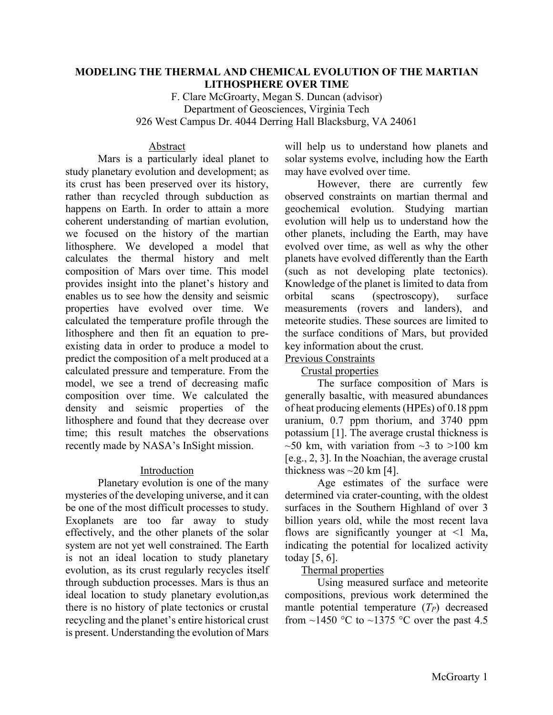# **MODELING THE THERMAL AND CHEMICAL EVOLUTION OF THE MARTIAN LITHOSPHERE OVER TIME**

F. Clare McGroarty, Megan S. Duncan (advisor) Department of Geosciences, Virginia Tech 926 West Campus Dr. 4044 Derring Hall Blacksburg, VA 24061

### Abstract

Mars is a particularly ideal planet to study planetary evolution and development; as its crust has been preserved over its history, rather than recycled through subduction as happens on Earth. In order to attain a more coherent understanding of martian evolution, we focused on the history of the martian lithosphere. We developed a model that calculates the thermal history and melt composition of Mars over time. This model provides insight into the planet's history and enables us to see how the density and seismic properties have evolved over time. We calculated the temperature profile through the lithosphere and then fit an equation to preexisting data in order to produce a model to predict the composition of a melt produced at a calculated pressure and temperature. From the model, we see a trend of decreasing mafic composition over time. We calculated the density and seismic properties of the lithosphere and found that they decrease over time; this result matches the observations recently made by NASA's InSight mission.

# **Introduction**

Planetary evolution is one of the many mysteries of the developing universe, and it can be one of the most difficult processes to study. Exoplanets are too far away to study effectively, and the other planets of the solar system are not yet well constrained. The Earth is not an ideal location to study planetary evolution, as its crust regularly recycles itself through subduction processes. Mars is thus an ideal location to study planetary evolution,as there is no history of plate tectonics or crustal recycling and the planet's entire historical crust is present. Understanding the evolution of Mars

will help us to understand how planets and solar systems evolve, including how the Earth may have evolved over time.

However, there are currently few observed constraints on martian thermal and geochemical evolution. Studying martian evolution will help us to understand how the other planets, including the Earth, may have evolved over time, as well as why the other planets have evolved differently than the Earth (such as not developing plate tectonics). Knowledge of the planet is limited to data from orbital scans (spectroscopy), surface measurements (rovers and landers), and meteorite studies. These sources are limited to the surface conditions of Mars, but provided key information about the crust.

#### Previous Constraints Crustal properties

The surface composition of Mars is generally basaltic, with measured abundances of heat producing elements (HPEs) of 0.18 ppm uranium, 0.7 ppm thorium, and 3740 ppm potassium [1]. The average crustal thickness is  $\sim$ 50 km, with variation from  $\sim$ 3 to  $>100$  km [e.g., 2, 3]. In the Noachian, the average crustal thickness was  $\sim$ 20 km [4].

Age estimates of the surface were determined via crater-counting, with the oldest surfaces in the Southern Highland of over 3 billion years old, while the most recent lava flows are significantly younger at  $\leq$ 1 Ma, indicating the potential for localized activity today [5, 6].

# Thermal properties

Using measured surface and meteorite compositions, previous work determined the mantle potential temperature  $(T_P)$  decreased from  $\sim$ 1450 °C to  $\sim$ 1375 °C over the past 4.5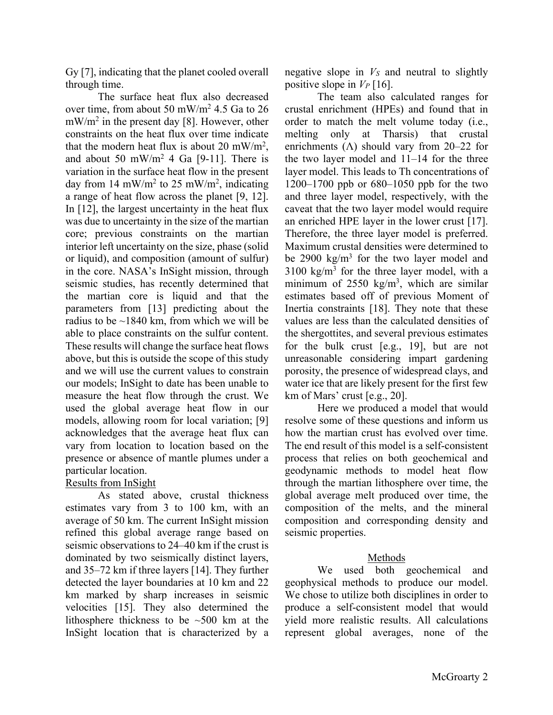Gy [7], indicating that the planet cooled overall through time.

The surface heat flux also decreased over time, from about 50 mW/m2 4.5 Ga to 26 mW/m2 in the present day [8]. However, other constraints on the heat flux over time indicate that the modern heat flux is about 20 mW/m<sup>2</sup>, and about 50 mW/m<sup>2</sup> 4 Ga [9-11]. There is variation in the surface heat flow in the present day from 14 mW/m<sup>2</sup> to 25 mW/m<sup>2</sup>, indicating a range of heat flow across the planet [9, 12]. In [12], the largest uncertainty in the heat flux was due to uncertainty in the size of the martian core; previous constraints on the martian interior left uncertainty on the size, phase (solid or liquid), and composition (amount of sulfur) in the core. NASA's InSight mission, through seismic studies, has recently determined that the martian core is liquid and that the parameters from [13] predicting about the radius to be  $\sim$ 1840 km, from which we will be able to place constraints on the sulfur content. These results will change the surface heat flows above, but this is outside the scope of this study and we will use the current values to constrain our models; InSight to date has been unable to measure the heat flow through the crust. We used the global average heat flow in our models, allowing room for local variation; [9] acknowledges that the average heat flux can vary from location to location based on the presence or absence of mantle plumes under a particular location.

# Results from InSight

As stated above, crustal thickness estimates vary from 3 to 100 km, with an average of 50 km. The current InSight mission refined this global average range based on seismic observations to 24–40 km if the crust is dominated by two seismically distinct layers, and 35–72 km if three layers [14]. They further detected the layer boundaries at 10 km and 22 km marked by sharp increases in seismic velocities [15]. They also determined the lithosphere thickness to be ~500 km at the InSight location that is characterized by a

negative slope in  $V<sub>S</sub>$  and neutral to slightly positive slope in  $V_P$  [16].

The team also calculated ranges for crustal enrichment (HPEs) and found that in order to match the melt volume today (i.e., melting only at Tharsis) that crustal enrichments ( $\Lambda$ ) should vary from 20–22 for the two layer model and 11–14 for the three layer model. This leads to Th concentrations of 1200–1700 ppb or 680–1050 ppb for the two and three layer model, respectively, with the caveat that the two layer model would require an enriched HPE layer in the lower crust [17]. Therefore, the three layer model is preferred. Maximum crustal densities were determined to be 2900  $kg/m<sup>3</sup>$  for the two layer model and  $3100 \text{ kg/m}^3$  for the three layer model, with a minimum of  $2550 \text{ kg/m}^3$ , which are similar estimates based off of previous Moment of Inertia constraints [18]. They note that these values are less than the calculated densities of the shergottites, and several previous estimates for the bulk crust [e.g., 19], but are not unreasonable considering impart gardening porosity, the presence of widespread clays, and water ice that are likely present for the first few km of Mars' crust [e.g., 20].

Here we produced a model that would resolve some of these questions and inform us how the martian crust has evolved over time. The end result of this model is a self-consistent process that relies on both geochemical and geodynamic methods to model heat flow through the martian lithosphere over time, the global average melt produced over time, the composition of the melts, and the mineral composition and corresponding density and seismic properties.

# Methods

We used both geochemical and geophysical methods to produce our model. We chose to utilize both disciplines in order to produce a self-consistent model that would yield more realistic results. All calculations represent global averages, none of the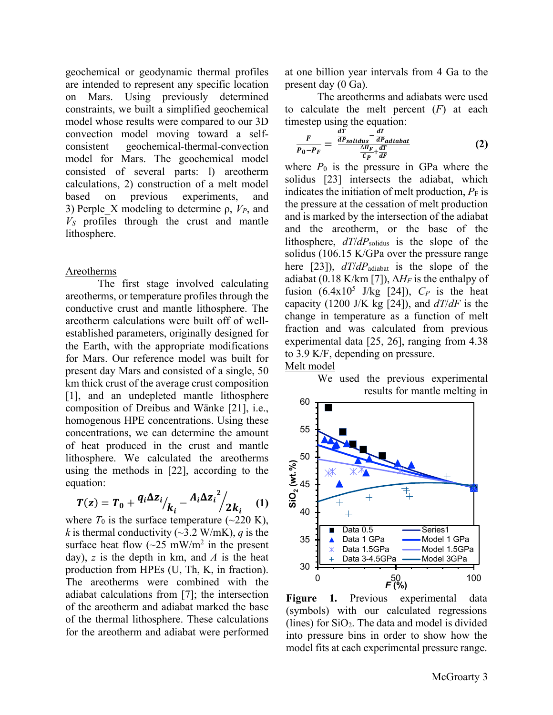geochemical or geodynamic thermal profiles are intended to represent any specific location on Mars. Using previously determined constraints, we built a simplified geochemical model whose results were compared to our 3D convection model moving toward a selfconsistent geochemical-thermal-convection model for Mars. The geochemical model consisted of several parts: l) areotherm calculations, 2) construction of a melt model based on previous experiments, and 3) Perple\_X modeling to determine ρ, *VP*, and *VS* profiles through the crust and mantle lithosphere.

#### Areotherms

The first stage involved calculating areotherms, or temperature profiles through the conductive crust and mantle lithosphere. The areotherm calculations were built off of wellestablished parameters, originally designed for the Earth, with the appropriate modifications for Mars. Our reference model was built for present day Mars and consisted of a single, 50 km thick crust of the average crust composition [1], and an undepleted mantle lithosphere composition of Dreibus and Wänke [21], i.e., homogenous HPE concentrations. Using these concentrations, we can determine the amount of heat produced in the crust and mantle lithosphere. We calculated the areotherms using the methods in [22], according to the equation:

$$
T(z) = T_0 + \frac{q_i \Delta z_i}{k_i} - \frac{A_i \Delta z_i^2}{2k_i} \tag{1}
$$

where  $T_0$  is the surface temperature ( $\sim$ 220 K), *k* is thermal conductivity ( $\sim$ 3.2 W/mK), *q* is the surface heat flow  $(\sim 25 \text{ mW/m}^2)$  in the present day), *z* is the depth in km, and *A* is the heat production from HPEs (U, Th, K, in fraction). The areotherms were combined with the adiabat calculations from [7]; the intersection of the areotherm and adiabat marked the base of the thermal lithosphere. These calculations for the areotherm and adiabat were performed

at one billion year intervals from 4 Ga to the present day (0 Ga).

The areotherms and adiabats were used to calculate the melt percent (*F*) at each timestep using the equation:

$$
\frac{F}{P_0 - P_F} = \frac{\frac{dT}{dP_{solidus}} - \frac{dT}{dP_{adiabat}}}{\frac{\Delta H_F}{C_P} + \frac{dT}{dF}}
$$
(2)

where  $P_0$  is the pressure in GPa where the solidus [23] intersects the adiabat, which indicates the initiation of melt production,  $P_F$  is the pressure at the cessation of melt production and is marked by the intersection of the adiabat and the areotherm, or the base of the lithosphere, *dT*/*dP*solidus is the slope of the solidus (106.15 K/GPa over the pressure range here [23]), *dT*/*dP*adiabat is the slope of the adiabat (0.18 K/km [7]),  $\Delta H_F$  is the enthalpy of fusion  $(6.4x10^5$  J/kg [24]),  $C_P$  is the heat capacity (1200 J/K kg [24]), and *dT*/*dF* is the change in temperature as a function of melt fraction and was calculated from previous experimental data [25, 26], ranging from 4.38 to 3.9 K/F, depending on pressure.

### Melt model

We used the previous experimental results for mantle melting in



**Figure 1.** Previous experimental data (symbols) with our calculated regressions (lines) for SiO2. The data and model is divided into pressure bins in order to show how the model fits at each experimental pressure range.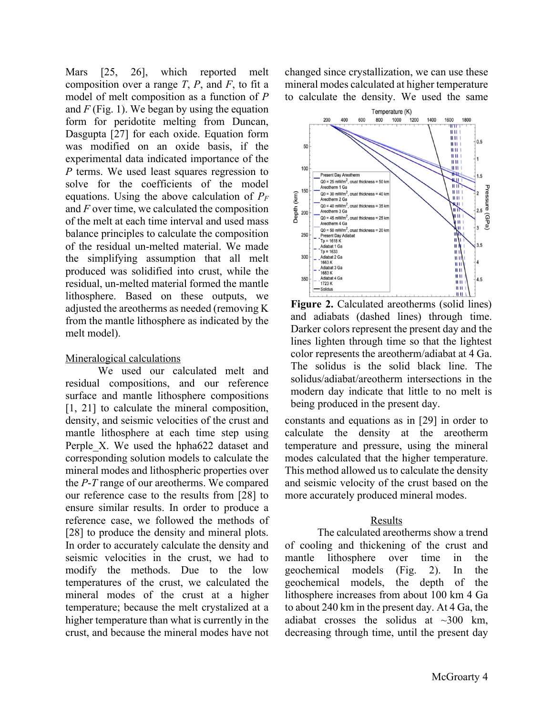Mars [25, 26], which reported melt composition over a range *T*, *P*, and *F*, to fit a model of melt composition as a function of *P* and *F* (Fig. 1). We began by using the equation form for peridotite melting from Duncan, Dasgupta [27] for each oxide. Equation form was modified on an oxide basis, if the experimental data indicated importance of the *P* terms. We used least squares regression to solve for the coefficients of the model equations. Using the above calculation of *PF* and *F* over time, we calculated the composition of the melt at each time interval and used mass balance principles to calculate the composition of the residual un-melted material. We made the simplifying assumption that all melt produced was solidified into crust, while the residual, un-melted material formed the mantle lithosphere. Based on these outputs, we adjusted the areotherms as needed (removing K from the mantle lithosphere as indicated by the melt model).

### Mineralogical calculations

We used our calculated melt and residual compositions, and our reference surface and mantle lithosphere compositions [1, 21] to calculate the mineral composition, density, and seismic velocities of the crust and mantle lithosphere at each time step using Perple X. We used the hpha622 dataset and corresponding solution models to calculate the mineral modes and lithospheric properties over the *P*-*T* range of our areotherms. We compared our reference case to the results from [28] to ensure similar results. In order to produce a reference case, we followed the methods of [28] to produce the density and mineral plots. In order to accurately calculate the density and seismic velocities in the crust, we had to modify the methods. Due to the low temperatures of the crust, we calculated the mineral modes of the crust at a higher temperature; because the melt crystalized at a higher temperature than what is currently in the crust, and because the mineral modes have not

changed since crystallization, we can use these mineral modes calculated at higher temperature to calculate the density. We used the same



**Figure 2.** Calculated areotherms (solid lines) and adiabats (dashed lines) through time. Darker colors represent the present day and the lines lighten through time so that the lightest color represents the areotherm/adiabat at 4 Ga. The solidus is the solid black line. The solidus/adiabat/areotherm intersections in the modern day indicate that little to no melt is being produced in the present day.

constants and equations as in [29] in order to calculate the density at the areotherm temperature and pressure, using the mineral modes calculated that the higher temperature. This method allowed us to calculate the density and seismic velocity of the crust based on the more accurately produced mineral modes.

# Results

The calculated areotherms show a trend of cooling and thickening of the crust and mantle lithosphere over time in the geochemical models (Fig. 2). In the geochemical models, the depth of the lithosphere increases from about 100 km 4 Ga to about 240 km in the present day. At 4 Ga, the adiabat crosses the solidus at  $\sim$ 300 km, decreasing through time, until the present day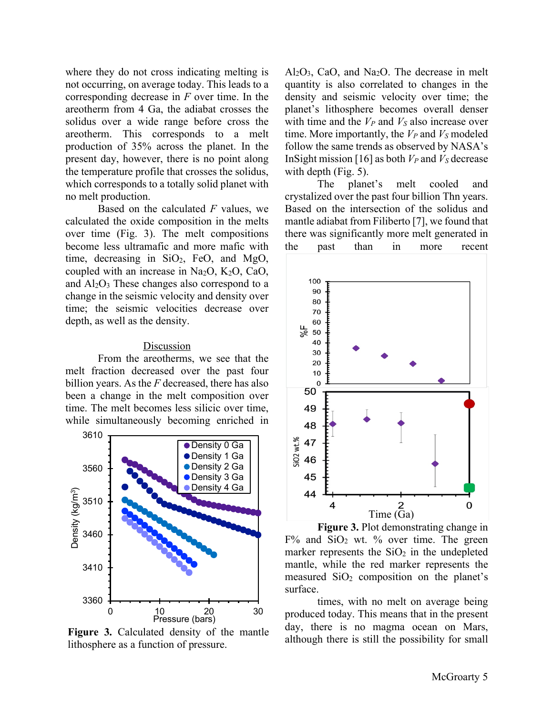where they do not cross indicating melting is not occurring, on average today. This leads to a corresponding decrease in *F* over time. In the areotherm from 4 Ga, the adiabat crosses the solidus over a wide range before cross the areotherm. This corresponds to a melt production of 35% across the planet. In the present day, however, there is no point along the temperature profile that crosses the solidus, which corresponds to a totally solid planet with no melt production.

Based on the calculated *F* values, we calculated the oxide composition in the melts over time (Fig. 3). The melt compositions become less ultramafic and more mafic with time, decreasing in  $SiO<sub>2</sub>$ , FeO, and MgO, coupled with an increase in Na<sub>2</sub>O, K<sub>2</sub>O, CaO, and  $Al_2O_3$  These changes also correspond to a change in the seismic velocity and density over time; the seismic velocities decrease over depth, as well as the density.

#### Discussion

From the areotherms, we see that the melt fraction decreased over the past four billion years. As the *F* decreased, there has also been a change in the melt composition over time. The melt becomes less silicic over time, while simultaneously becoming enriched in



**Figure 3.** Calculated density of the mantle lithosphere as a function of pressure.

 $Al_2O_3$ , CaO, and Na<sub>2</sub>O. The decrease in melt quantity is also correlated to changes in the density and seismic velocity over time; the planet's lithosphere becomes overall denser with time and the  $V_P$  and  $V_S$  also increase over time. More importantly, the  $V_P$  and  $V_S$  modeled follow the same trends as observed by NASA's InSight mission [16] as both  $V_P$  and  $V_S$  decrease with depth (Fig. 5).

The planet's melt cooled and crystalized over the past four billion Thn years. Based on the intersection of the solidus and mantle adiabat from Filiberto [7], we found that there was significantly more melt generated in the past than in more recent



**Figure 3.** Plot demonstrating change in  $F\%$  and  $SiO<sub>2</sub>$  wt. % over time. The green marker represents the  $SiO<sub>2</sub>$  in the undepleted mantle, while the red marker represents the measured  $SiO<sub>2</sub>$  composition on the planet's surface.

times, with no melt on average being produced today. This means that in the present day, there is no magma ocean on Mars, although there is still the possibility for small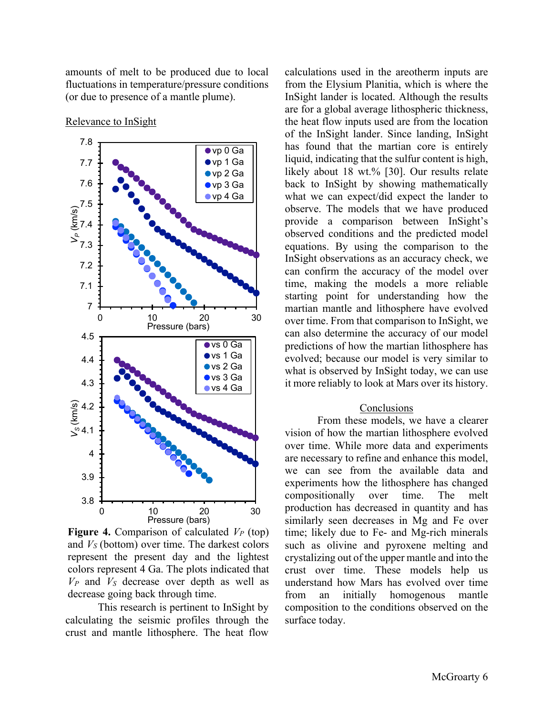amounts of melt to be produced due to local fluctuations in temperature/pressure conditions (or due to presence of a mantle plume).



Relevance to InSight

**Figure 4.** Comparison of calculated  $V_P$  (top) and *VS* (bottom) over time. The darkest colors represent the present day and the lightest colors represent 4 Ga. The plots indicated that  $V_P$  and  $V_S$  decrease over depth as well as decrease going back through time.

This research is pertinent to InSight by calculating the seismic profiles through the crust and mantle lithosphere. The heat flow

calculations used in the areotherm inputs are from the Elysium Planitia, which is where the InSight lander is located. Although the results are for a global average lithospheric thickness, the heat flow inputs used are from the location of the InSight lander. Since landing, InSight has found that the martian core is entirely liquid, indicating that the sulfur content is high, likely about 18 wt.% [30]. Our results relate back to InSight by showing mathematically what we can expect/did expect the lander to observe. The models that we have produced provide a comparison between InSight's observed conditions and the predicted model equations. By using the comparison to the InSight observations as an accuracy check, we can confirm the accuracy of the model over time, making the models a more reliable starting point for understanding how the martian mantle and lithosphere have evolved over time. From that comparison to InSight, we can also determine the accuracy of our model predictions of how the martian lithosphere has evolved; because our model is very similar to what is observed by InSight today, we can use it more reliably to look at Mars over its history.

#### Conclusions

From these models, we have a clearer vision of how the martian lithosphere evolved over time. While more data and experiments are necessary to refine and enhance this model, we can see from the available data and experiments how the lithosphere has changed compositionally over time. The melt production has decreased in quantity and has similarly seen decreases in Mg and Fe over time; likely due to Fe- and Mg-rich minerals such as olivine and pyroxene melting and crystalizing out of the upper mantle and into the crust over time. These models help us understand how Mars has evolved over time from an initially homogenous mantle composition to the conditions observed on the surface today.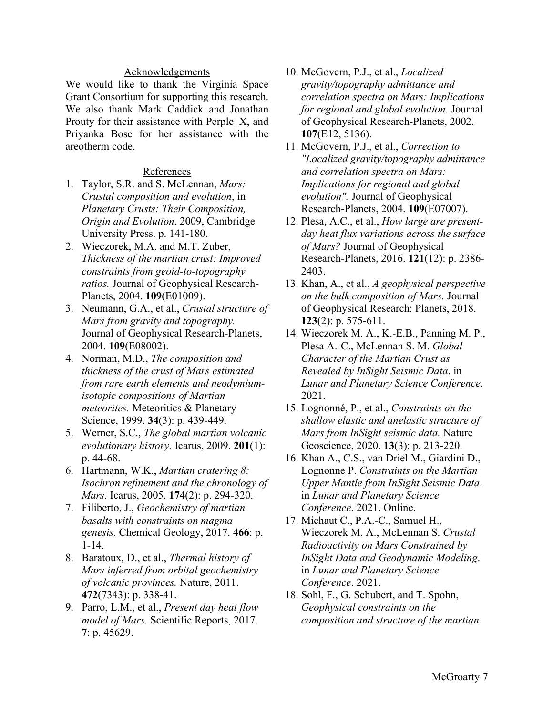### Acknowledgements

We would like to thank the Virginia Space Grant Consortium for supporting this research. We also thank Mark Caddick and Jonathan Prouty for their assistance with Perple\_X, and Priyanka Bose for her assistance with the areotherm code.

### References

- 1. Taylor, S.R. and S. McLennan, *Mars: Crustal composition and evolution*, in *Planetary Crusts: Their Composition, Origin and Evolution*. 2009, Cambridge University Press. p. 141-180.
- 2. Wieczorek, M.A. and M.T. Zuber, *Thickness of the martian crust: Improved constraints from geoid-to-topography ratios.* Journal of Geophysical Research-Planets, 2004. **109**(E01009).
- 3. Neumann, G.A., et al., *Crustal structure of Mars from gravity and topography.* Journal of Geophysical Research-Planets, 2004. **109**(E08002).
- 4. Norman, M.D., *The composition and thickness of the crust of Mars estimated from rare earth elements and neodymium‐ isotopic compositions of Martian meteorites.* Meteoritics & Planetary Science, 1999. **34**(3): p. 439-449.
- 5. Werner, S.C., *The global martian volcanic evolutionary history.* Icarus, 2009. **201**(1): p. 44-68.
- 6. Hartmann, W.K., *Martian cratering 8: Isochron refinement and the chronology of Mars.* Icarus, 2005. **174**(2): p. 294-320.
- 7. Filiberto, J., *Geochemistry of martian basalts with constraints on magma genesis.* Chemical Geology, 2017. **466**: p. 1-14.
- 8. Baratoux, D., et al., *Thermal history of Mars inferred from orbital geochemistry of volcanic provinces.* Nature, 2011. **472**(7343): p. 338-41.
- 9. Parro, L.M., et al., *Present day heat flow model of Mars.* Scientific Reports, 2017. **7**: p. 45629.
- 10. McGovern, P.J., et al., *Localized gravity/topography admittance and correlation spectra on Mars: Implications for regional and global evolution.* Journal of Geophysical Research-Planets, 2002. **107**(E12, 5136).
- 11. McGovern, P.J., et al., *Correction to "Localized gravity/topography admittance and correlation spectra on Mars: Implications for regional and global evolution".* Journal of Geophysical Research-Planets, 2004. **109**(E07007).
- 12. Plesa, A.C., et al., *How large are presentday heat flux variations across the surface of Mars?* Journal of Geophysical Research-Planets, 2016. **121**(12): p. 2386- 2403.
- 13. Khan, A., et al., *A geophysical perspective on the bulk composition of Mars.* Journal of Geophysical Research: Planets, 2018. **123**(2): p. 575-611.
- 14. Wieczorek M. A., K.-E.B., Panning M. P., Plesa A.-C., McLennan S. M. *Global Character of the Martian Crust as Revealed by InSight Seismic Data*. in *Lunar and Planetary Science Conference*. 2021.
- 15. Lognonné, P., et al., *Constraints on the shallow elastic and anelastic structure of Mars from InSight seismic data.* Nature Geoscience, 2020. **13**(3): p. 213-220.
- 16. Khan A., C.S., van Driel M., Giardini D., Lognonne P. *Constraints on the Martian Upper Mantle from InSight Seismic Data*. in *Lunar and Planetary Science Conference*. 2021. Online.
- 17. Michaut C., P.A.-C., Samuel H., Wieczorek M. A., McLennan S. *Crustal Radioactivity on Mars Constrained by InSight Data and Geodynamic Modeling*. in *Lunar and Planetary Science Conference*. 2021.
- 18. Sohl, F., G. Schubert, and T. Spohn, *Geophysical constraints on the composition and structure of the martian*